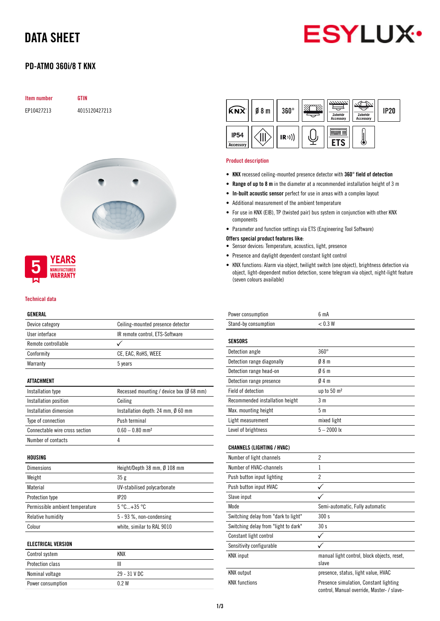# DATA SHEET



## PD-ATMO 360i/8 T KNX

| <b>Item number</b> | <b>GTIN</b>   |
|--------------------|---------------|
| EP10427213         | 4015120427213 |





#### Technical data

#### GENERAL

| ulnlkal                         |                                              |
|---------------------------------|----------------------------------------------|
| Device category                 | Ceiling-mounted presence detector            |
| User interface                  | IR remote control, ETS-Software              |
| Remote controllable             |                                              |
| Conformity                      | CE, EAC, RoHS, WEEE                          |
| Warranty                        | 5 years                                      |
| ATTACHMENT                      |                                              |
| Installation type               | Recessed mounting / device box (Ø 68 mm)     |
| Installation position           | Ceiling                                      |
| Installation dimension          | Installation depth: 24 mm, $\emptyset$ 60 mm |
| Type of connection              | Push terminal                                |
| Connectable wire cross section  | $0.60 - 0.80$ mm <sup>2</sup>                |
| Number of contacts              | 4                                            |
| HOUSING                         |                                              |
| <b>Dimensions</b>               | Height/Depth 38 mm, Ø 108 mm                 |
| Weight                          | 35 g                                         |
| Material                        | UV-stabilised polycarbonate                  |
| Protection type                 | IP20                                         |
| Permissible ambient temperature | 5 °C+35 °C                                   |
| Relative humidity               | 5 - 93 %, non-condensing                     |
| Colour                          | white, similar to RAL 9010                   |
| <b>ELECTRICAL VERSION</b>       |                                              |
| Control system                  | <b>KNX</b>                                   |
| <b>Protection class</b>         | Ш                                            |
| Nominal voltage                 | 29 - 31 V DC                                 |

Power consumption 0.2 W

| <b>KNX</b>               | $0/8$ m | $360^\circ$ | 7777777<br>Zubehör<br>Accessory | Zubehör<br><b>Accessory</b> | <b>IP20</b> |
|--------------------------|---------|-------------|---------------------------------|-----------------------------|-------------|
| <b>IP54</b><br>Accessory |         | (R))        |                                 |                             |             |

#### Product description

- KNX recessed ceiling-mounted presence detector with 360° field of detection
- Range of up to 8 m in the diameter at a recommended installation height of 3 m
- In-built acoustic sensor perfect for use in areas with a complex layout
- Additional measurement of the ambient temperature
- For use in KNX (EIB), TP (twisted pair) bus system in conjunction with other KNX components
- Parameter and function settings via ETS (Engineering Tool Software)

#### Offers special product features like:

- Sensor devices: Temperature, acoustics, light, presence
- Presence and daylight dependent constant light control
- KNX functions: Alarm via object, twilight switch (one object), brightness detection via object, light-dependent motion detection, scene telegram via object, night-light feature (seven colours available)

| Power consumption                    | 6 <sub>m</sub> A                                                                     |
|--------------------------------------|--------------------------------------------------------------------------------------|
| Stand-by consumption                 | < 0.3 W                                                                              |
| <b>SENSORS</b>                       |                                                                                      |
| Detection angle                      | $360^\circ$                                                                          |
| Detection range diagonally           | 08 <sub>m</sub>                                                                      |
| Detection range head-on              | 06m                                                                                  |
| Detection range presence             | 04m                                                                                  |
| Field of detection                   | up to 50 m <sup>2</sup>                                                              |
| Recommended installation height      | 3 <sub>m</sub>                                                                       |
| Max. mounting height                 | 5 <sub>m</sub>                                                                       |
| Light measurement                    | mixed light                                                                          |
| Level of brightness                  | $5 - 2000$ lx                                                                        |
| <b>CHANNELS (LIGHTING / HVAC)</b>    |                                                                                      |
| Number of light channels             | $\overline{2}$                                                                       |
| Number of HVAC-channels              | 1                                                                                    |
| Push button input lighting           | $\overline{2}$                                                                       |
| Push button input HVAC               | ✓                                                                                    |
| Slave input                          |                                                                                      |
| Mode                                 | Semi-automatic, Fully automatic                                                      |
| Switching delay from "dark to light" | 300s                                                                                 |
| Switching delay from "light to dark" | 30s                                                                                  |
| Constant light control               | ✓                                                                                    |
| Sensitivity configurable             |                                                                                      |
| <b>KNX</b> input                     | manual light control, block objects, reset,<br>slave                                 |
| <b>KNX</b> output                    | presence, status, light value, HVAC                                                  |
| <b>KNX</b> functions                 | Presence simulation, Constant lighting<br>control, Manual override, Master- / slave- |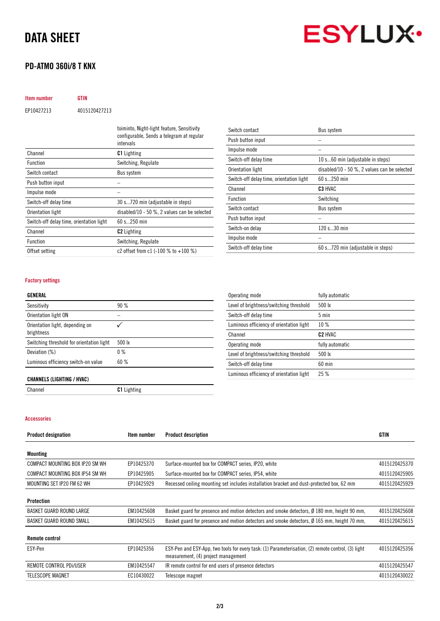# DATA SHEET

## PD-ATMO 360i/8 T KNX

**ESYLUX** 

| <b>Item number</b> | GTIN          |
|--------------------|---------------|
| EP10427213         | 4015120427213 |

|                                          | toiminto, Night-light feature, Sensitivity<br>configurable, Sends a telegram at regular<br>intervals |
|------------------------------------------|------------------------------------------------------------------------------------------------------|
| Channel                                  | <b>C1</b> Lighting                                                                                   |
| <b>Function</b>                          | Switching, Regulate                                                                                  |
| Switch contact                           | Bus system                                                                                           |
| Push button input                        |                                                                                                      |
| Impulse mode                             |                                                                                                      |
| Switch-off delay time                    | 30 s720 min (adjustable in steps)                                                                    |
| Orientation light                        | disabled/10 - 50 $\%$ , 2 values can be selected                                                     |
| Switch-off delay time, orientation light | $60 s$ 250 min                                                                                       |
| Channel                                  | <b>C2</b> Lighting                                                                                   |
| <b>Function</b>                          | Switching, Regulate                                                                                  |
| Offset setting                           | c2 offset from c1 $(-100 % t0 + 100 % t)$                                                            |
|                                          |                                                                                                      |

| Switch contact                           | Bus system                                   |
|------------------------------------------|----------------------------------------------|
| Push button input                        |                                              |
| Impulse mode                             |                                              |
| Switch-off delay time                    | 10 s60 min (adjustable in steps)             |
| Orientation light                        | disabled/10 - 50 %, 2 values can be selected |
| Switch-off delay time, orientation light | 60 s 250 min                                 |
| Channel                                  | C <sub>3</sub> HVAC                          |
| <b>Function</b>                          | Switching                                    |
| Switch contact                           | Bus system                                   |
| Push button input                        |                                              |
| Switch-on delay                          | 120 s30 min                                  |
| Impulse mode                             |                                              |
| Switch-off delay time                    | 60 s720 min (adjustable in steps)            |

#### Factory settings

#### GENERAL

| Sensitivity                                   | 90%              |
|-----------------------------------------------|------------------|
| Orientation light ON                          |                  |
| Orientation light, depending on<br>brightness |                  |
| Switching threshold for orientation light     | $500 \text{ lx}$ |
| Deviation (%)                                 | $0\%$            |
| Luminous efficiency switch-on value           | 60%              |
|                                               |                  |

| Operating mode                           | fully automatic     |
|------------------------------------------|---------------------|
| Level of brightness/switching threshold  | 500 lx              |
| Switch-off delay time                    | $5 \text{ min}$     |
| Luminous efficiency of orientation light | 10%                 |
| Channel                                  | C <sub>2</sub> HVAC |
| Operating mode                           | fully automatic     |
| Level of brightness/switching threshold  | 500 lx              |
| Switch-off delay time                    | $60$ min            |
| Luminous efficiency of orientation light | 25%                 |

#### CHANNELS (LIGHTING / HVAC)

Channel C1 Lighting

Accessories

| <b>Product designation</b>      | Item number | <b>Product description</b>                                                                                                                | GTIN          |
|---------------------------------|-------------|-------------------------------------------------------------------------------------------------------------------------------------------|---------------|
| Mounting                        |             |                                                                                                                                           |               |
| COMPACT MOUNTING BOX IP20 SM WH | EP10425370  | Surface-mounted box for COMPACT series, IP20, white                                                                                       | 4015120425370 |
| COMPACT MOUNTING BOX IP54 SM WH | EP10425905  | Surface-mounted box for COMPACT series, IP54, white                                                                                       | 4015120425905 |
| MOUNTING SET IP20 FM 62 WH      | EP10425929  | Recessed ceiling mounting set includes installation bracket and dust-protected box, 62 mm                                                 | 4015120425929 |
| Protection                      |             |                                                                                                                                           |               |
| BASKET GUARD ROUND LARGE        | EM10425608  | Basket guard for presence and motion detectors and smoke detectors, $\varnothing$ 180 mm, height 90 mm,                                   | 4015120425608 |
| BASKET GUARD ROUND SMALL        | EM10425615  | Basket guard for presence and motion detectors and smoke detectors, Ø 165 mm, height 70 mm,                                               | 4015120425615 |
| <b>Remote control</b>           |             |                                                                                                                                           |               |
| ESY-Pen                         | EP10425356  | ESY-Pen and ESY-App, two tools for every task: (1) Parameterisation, (2) remote control, (3) light<br>measurement, (4) project management | 4015120425356 |
| REMOTE CONTROL PDI/USER         | EM10425547  | IR remote control for end users of presence detectors                                                                                     | 4015120425547 |
| <b>TELESCOPE MAGNET</b>         | EC10430022  | Telescope magnet                                                                                                                          | 4015120430022 |